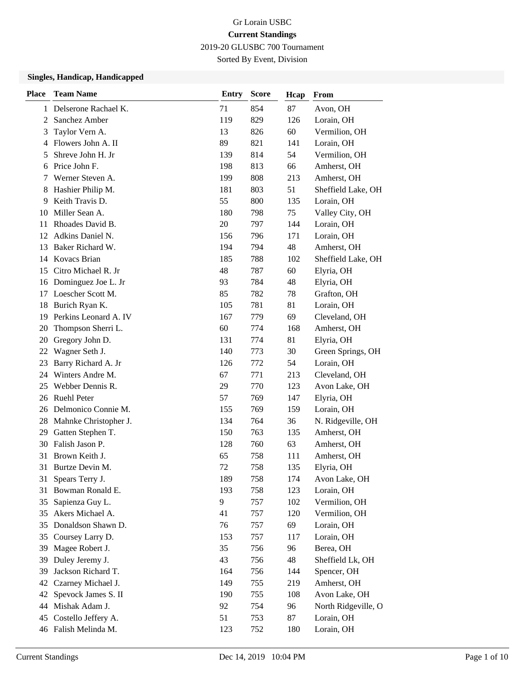2019-20 GLUSBC 700 Tournament

Sorted By Event, Division

| <b>Place</b> | <b>Team Name</b>      | <b>Entry</b> | <b>Score</b> | Hcap | From                |
|--------------|-----------------------|--------------|--------------|------|---------------------|
| 1            | Delserone Rachael K.  | 71           | 854          | 87   | Avon, OH            |
| 2            | Sanchez Amber         | 119          | 829          | 126  | Lorain, OH          |
| 3            | Taylor Vern A.        | 13           | 826          | 60   | Vermilion, OH       |
| 4            | Flowers John A. II    | 89           | 821          | 141  | Lorain, OH          |
| 5            | Shreve John H. Jr     | 139          | 814          | 54   | Vermilion, OH       |
| 6            | Price John F.         | 198          | 813          | 66   | Amherst, OH         |
| 7            | Werner Steven A.      | 199          | 808          | 213  | Amherst, OH         |
| 8            | Hashier Philip M.     | 181          | 803          | 51   | Sheffield Lake, OH  |
| 9            | Keith Travis D.       | 55           | 800          | 135  | Lorain, OH          |
| 10           | Miller Sean A.        | 180          | 798          | 75   | Valley City, OH     |
| 11           | Rhoades David B.      | 20           | 797          | 144  | Lorain, OH          |
| 12           | Adkins Daniel N.      | 156          | 796          | 171  | Lorain, OH          |
| 13           | Baker Richard W.      | 194          | 794          | 48   | Amherst, OH         |
| 14           | <b>Kovacs Brian</b>   | 185          | 788          | 102  | Sheffield Lake, OH  |
| 15           | Citro Michael R. Jr   | 48           | 787          | 60   | Elyria, OH          |
| 16           | Dominguez Joe L. Jr   | 93           | 784          | 48   | Elyria, OH          |
| 17           | Loescher Scott M.     | 85           | 782          | 78   | Grafton, OH         |
| 18           | Burich Ryan K.        | 105          | 781          | 81   | Lorain, OH          |
| 19           | Perkins Leonard A. IV | 167          | 779          | 69   | Cleveland, OH       |
| 20           | Thompson Sherri L.    | 60           | 774          | 168  | Amherst, OH         |
| 20           | Gregory John D.       | 131          | 774          | 81   | Elyria, OH          |
| 22           | Wagner Seth J.        | 140          | 773          | 30   | Green Springs, OH   |
| 23           | Barry Richard A. Jr   | 126          | 772          | 54   | Lorain, OH          |
| 24           | Winters Andre M.      | 67           | 771          | 213  | Cleveland, OH       |
| 25           | Webber Dennis R.      | 29           | 770          | 123  | Avon Lake, OH       |
| 26           | <b>Ruehl Peter</b>    | 57           | 769          | 147  | Elyria, OH          |
| 26           | Delmonico Connie M.   | 155          | 769          | 159  | Lorain, OH          |
| 28           | Mahnke Christopher J. | 134          | 764          | 36   | N. Ridgeville, OH   |
| 29           | Gatten Stephen T.     | 150          | 763          | 135  | Amherst, OH         |
| 30           | Falish Jason P.       | 128          | 760          | 63   | Amherst, OH         |
| 31           | Brown Keith J.        | 65           | 758          | 111  | Amherst, OH         |
| 31           | Burtze Devin M.       | 72           | 758          | 135  | Elyria, OH          |
| 31           | Spears Terry J.       | 189          | 758          | 174  | Avon Lake, OH       |
| 31           | Bowman Ronald E.      | 193          | 758          | 123  | Lorain, OH          |
| 35           | Sapienza Guy L.       | 9            | 757          | 102  | Vermilion, OH       |
| 35           | Akers Michael A.      | 41           | 757          | 120  | Vermilion, OH       |
| 35           | Donaldson Shawn D.    | 76           | 757          | 69   | Lorain, OH          |
| 35           | Coursey Larry D.      | 153          | 757          | 117  | Lorain, OH          |
| 39           | Magee Robert J.       | 35           | 756          | 96   | Berea, OH           |
| 39           | Duley Jeremy J.       | 43           | 756          | 48   | Sheffield Lk, OH    |
| 39           | Jackson Richard T.    | 164          | 756          | 144  | Spencer, OH         |
| 42           | Czarney Michael J.    | 149          | 755          | 219  | Amherst, OH         |
| 42           | Spevock James S. II   | 190          | 755          | 108  | Avon Lake, OH       |
| 44           | Mishak Adam J.        | 92           | 754          | 96   | North Ridgeville, O |
| 45           | Costello Jeffery A.   | 51           | 753          | 87   | Lorain, OH          |
|              | 46 Falish Melinda M.  | 123          | 752          | 180  | Lorain, OH          |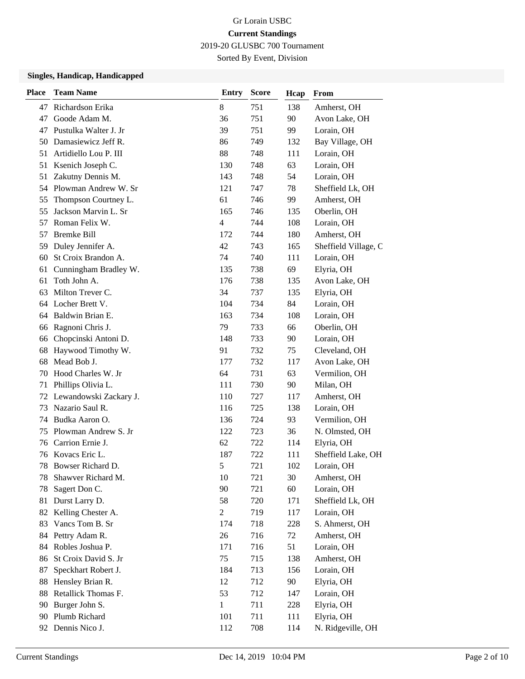2019-20 GLUSBC 700 Tournament

Sorted By Event, Division

| <b>Place</b> | <b>Team Name</b>       | <b>Entry</b>   | <b>Score</b> | Hcap | From                 |
|--------------|------------------------|----------------|--------------|------|----------------------|
| 47           | Richardson Erika       | $\,8\,$        | 751          | 138  | Amherst, OH          |
| 47           | Goode Adam M.          | 36             | 751          | 90   | Avon Lake, OH        |
| 47           | Pustulka Walter J. Jr  | 39             | 751          | 99   | Lorain, OH           |
| 50           | Damasiewicz Jeff R.    | 86             | 749          | 132  | Bay Village, OH      |
| 51           | Artidiello Lou P. III  | 88             | 748          | 111  | Lorain, OH           |
| 51           | Ksenich Joseph C.      | 130            | 748          | 63   | Lorain, OH           |
| 51           | Zakutny Dennis M.      | 143            | 748          | 54   | Lorain, OH           |
| 54           | Plowman Andrew W. Sr   | 121            | 747          | 78   | Sheffield Lk, OH     |
| 55           | Thompson Courtney L.   | 61             | 746          | 99   | Amherst, OH          |
| 55           | Jackson Marvin L. Sr   | 165            | 746          | 135  | Oberlin, OH          |
| 57           | Roman Felix W.         | $\overline{4}$ | 744          | 108  | Lorain, OH           |
| 57           | <b>Bremke Bill</b>     | 172            | 744          | 180  | Amherst, OH          |
| 59           | Duley Jennifer A.      | 42             | 743          | 165  | Sheffield Village, C |
| 60           | St Croix Brandon A.    | 74             | 740          | 111  | Lorain, OH           |
| 61           | Cunningham Bradley W.  | 135            | 738          | 69   | Elyria, OH           |
| 61           | Toth John A.           | 176            | 738          | 135  | Avon Lake, OH        |
| 63           | Milton Trever C.       | 34             | 737          | 135  | Elyria, OH           |
| 64           | Locher Brett V.        | 104            | 734          | 84   | Lorain, OH           |
| 64           | Baldwin Brian E.       | 163            | 734          | 108  | Lorain, OH           |
| 66           | Ragnoni Chris J.       | 79             | 733          | 66   | Oberlin, OH          |
| 66           | Chopcinski Antoni D.   | 148            | 733          | 90   | Lorain, OH           |
| 68           | Haywood Timothy W.     | 91             | 732          | 75   | Cleveland, OH        |
| 68           | Mead Bob J.            | 177            | 732          | 117  | Avon Lake, OH        |
| 70           | Hood Charles W. Jr     | 64             | 731          | 63   | Vermilion, OH        |
| 71           | Phillips Olivia L.     | 111            | 730          | 90   | Milan, OH            |
| 72           | Lewandowski Zackary J. | 110            | 727          | 117  | Amherst, OH          |
| 73           | Nazario Saul R.        | 116            | 725          | 138  | Lorain, OH           |
| 74           | Budka Aaron O.         | 136            | 724          | 93   | Vermilion, OH        |
| 75           | Plowman Andrew S. Jr   | 122            | 723          | 36   | N. Olmsted, OH       |
| 76           | Carrion Ernie J.       | 62             | 722          | 114  | Elyria, OH           |
| 76           | Kovacs Eric L.         | 187            | 722          | 111  | Sheffield Lake, OH   |
| 78           | Bowser Richard D.      | 5              | 721          | 102  | Lorain, OH           |
| 78           | Shawver Richard M.     | 10             | 721          | 30   | Amherst, OH          |
| 78           | Sagert Don C.          | 90             | 721          | 60   | Lorain, OH           |
| 81           | Durst Larry D.         | 58             | 720          | 171  | Sheffield Lk, OH     |
| 82           | Kelling Chester A.     | $\overline{2}$ | 719          | 117  | Lorain, OH           |
| 83           | Vancs Tom B. Sr        | 174            | 718          | 228  | S. Ahmerst, OH       |
| 84           | Pettry Adam R.         | 26             | 716          | 72   | Amherst, OH          |
| 84           | Robles Joshua P.       | 171            | 716          | 51   | Lorain, OH           |
| 86           | St Croix David S. Jr   | 75             | 715          | 138  | Amherst, OH          |
| 87           | Speckhart Robert J.    | 184            | 713          | 156  | Lorain, OH           |
| 88           | Hensley Brian R.       | 12             | 712          | 90   | Elyria, OH           |
| 88           | Retallick Thomas F.    | 53             | 712          | 147  | Lorain, OH           |
| 90           | Burger John S.         | 1              | 711          | 228  | Elyria, OH           |
| 90           | Plumb Richard          | 101            | 711          | 111  | Elyria, OH           |
| 92           | Dennis Nico J.         | 112            | 708          | 114  | N. Ridgeville, OH    |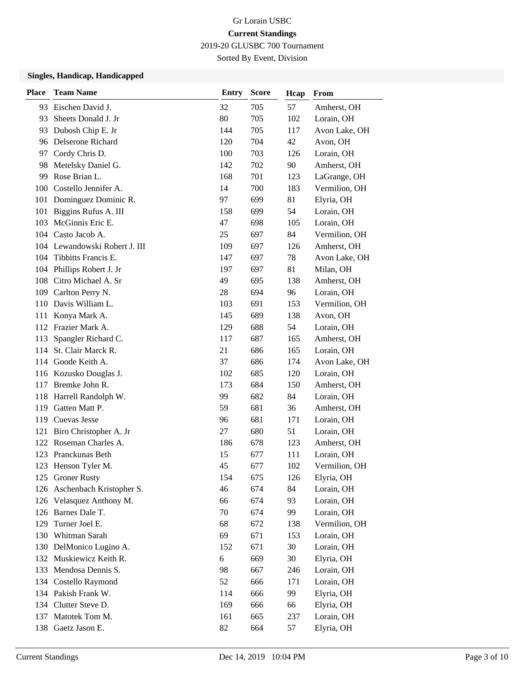2019-20 GLUSBC 700 Tournament

Sorted By Event, Division

| <b>Place</b> | <b>Team Name</b>              | <b>Entry</b> | <b>Score</b> | Hcap | From          |
|--------------|-------------------------------|--------------|--------------|------|---------------|
| 93           | Eischen David J.              | 32           | 705          | 57   | Amherst, OH   |
| 93           | Sheets Donald J. Jr           | 80           | 705          | 102  | Lorain, OH    |
| 93           | Dubosh Chip E. Jr             | 144          | 705          | 117  | Avon Lake, OH |
|              | 96 Delserone Richard          | 120          | 704          | 42   | Avon, OH      |
|              | 97 Cordy Chris D.             | 100          | 703          | 126  | Lorain, OH    |
| 98           | Metelsky Daniel G.            | 142          | 702          | 90   | Amherst, OH   |
| 99           | Rose Brian L.                 | 168          | 701          | 123  | LaGrange, OH  |
|              | 100 Costello Jennifer A.      | 14           | 700          | 183  | Vermilion, OH |
|              | 101 Dominguez Dominic R.      | 97           | 699          | 81   | Elyria, OH    |
| 101          | Biggins Rufus A. III          | 158          | 699          | 54   | Lorain, OH    |
|              | 103 McGinnis Eric E.          | 47           | 698          | 105  | Lorain, OH    |
|              | 104 Casto Jacob A.            | 25           | 697          | 84   | Vermilion, OH |
|              | 104 Lewandowski Robert J. III | 109          | 697          | 126  | Amherst, OH   |
| 104          | Tibbitts Francis E.           | 147          | 697          | 78   | Avon Lake, OH |
|              | 104 Phillips Robert J. Jr     | 197          | 697          | 81   | Milan, OH     |
|              | 108 Citro Michael A. Sr       | 49           | 695          | 138  | Amherst, OH   |
|              | 109 Carlton Perry N.          | 28           | 694          | 96   | Lorain, OH    |
|              | 110 Davis William L.          | 103          | 691          | 153  | Vermilion, OH |
| 111          | Konya Mark A.                 | 145          | 689          | 138  | Avon, OH      |
|              | 112 Frazier Mark A.           | 129          | 688          | 54   | Lorain, OH    |
| 113          | Spangler Richard C.           | 117          | 687          | 165  | Amherst, OH   |
| 114          | St. Clair Marck R.            | 21           | 686          | 165  | Lorain, OH    |
|              | 114 Goode Keith A.            | 37           | 686          | 174  | Avon Lake, OH |
|              | 116 Kozusko Douglas J.        | 102          | 685          | 120  | Lorain, OH    |
|              | 117 Bremke John R.            | 173          | 684          | 150  | Amherst, OH   |
|              | 118 Harrell Randolph W.       | 99           | 682          | 84   | Lorain, OH    |
| 119          | Gatten Matt P.                | 59           | 681          | 36   | Amherst, OH   |
|              | 119 Cuevas Jesse              | 96           | 681          | 171  | Lorain, OH    |
| 121          | Biro Christopher A. Jr        | 27           | 680          | 51   | Lorain, OH    |
| 122          | Roseman Charles A.            | 186          | 678          | 123  | Amherst, OH   |
|              | 123 Pranckunas Beth           | 15           | 677          | 111  | Lorain, OH    |
|              | 123 Henson Tyler M.           | 45           | 677          | 102  | Vermilion, OH |
|              | 125 Groner Rusty              | 154          | 675          | 126  | Elyria, OH    |
|              | 126 Aschenbach Kristopher S.  | 46           | 674          | 84   | Lorain, OH    |
|              | 126 Velasquez Anthony M.      | 66           | 674          | 93   | Lorain, OH    |
|              | 126 Barnes Dale T.            | 70           | 674          | 99   | Lorain, OH    |
| 129          | Turner Joel E.                | 68           | 672          | 138  | Vermilion, OH |
|              | 130 Whitman Sarah             | 69           | 671          | 153  | Lorain, OH    |
|              | 130 DelMonico Lugino A.       | 152          | 671          | 30   | Lorain, OH    |
|              | 132 Muskiewicz Keith R.       | 6            | 669          | 30   | Elyria, OH    |
| 133          | Mendosa Dennis S.             | 98           | 667          | 246  | Lorain, OH    |
| 134          | Costello Raymond              | 52           | 666          | 171  | Lorain, OH    |
|              | 134 Pakish Frank W.           | 114          | 666          | 99   | Elyria, OH    |
|              | 134 Clutter Steve D.          | 169          | 666          | 66   | Elyria, OH    |
|              | 137 Matotek Tom M.            | 161          | 665          | 237  | Lorain, OH    |
|              | 138 Gaetz Jason E.            | 82           | 664          | 57   | Elyria, OH    |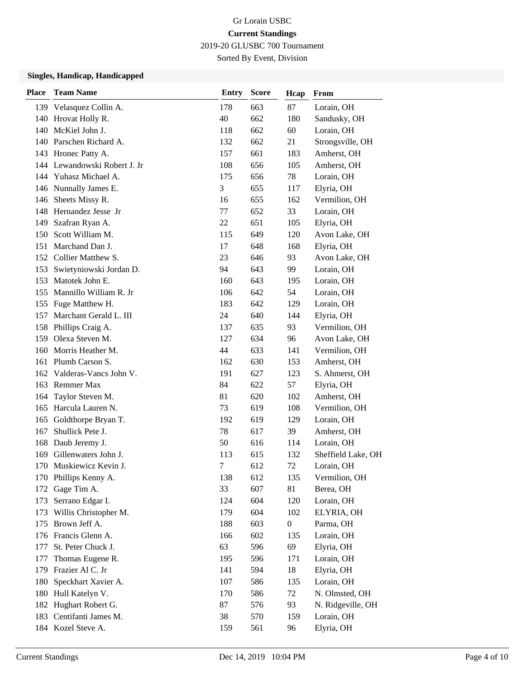2019-20 GLUSBC 700 Tournament

Sorted By Event, Division

| <b>Place</b> | <b>Team Name</b>             | Entry  | <b>Score</b> | Hcap             | From               |
|--------------|------------------------------|--------|--------------|------------------|--------------------|
|              | 139 Velasquez Collin A.      | 178    | 663          | 87               | Lorain, OH         |
|              | 140 Hrovat Holly R.          | 40     | 662          | 180              | Sandusky, OH       |
|              | 140 McKiel John J.           | 118    | 662          | 60               | Lorain, OH         |
|              | 140 Parschen Richard A.      | 132    | 662          | 21               | Strongsville, OH   |
|              | 143 Hronec Patty A.          | 157    | 661          | 183              | Amherst, OH        |
|              | 144 Lewandowski Robert J. Jr | 108    | 656          | 105              | Amherst, OH        |
|              | 144 Yuhasz Michael A.        | 175    | 656          | 78               | Lorain, OH         |
|              | 146 Nunnally James E.        | 3      | 655          | 117              | Elyria, OH         |
|              | 146 Sheets Missy R.          | 16     | 655          | 162              | Vermilion, OH      |
|              | 148 Hernandez Jesse Jr       | 77     | 652          | 33               | Lorain, OH         |
| 149          | Szafran Ryan A.              | 22     | 651          | 105              | Elyria, OH         |
| 150          | Scott William M.             | 115    | 649          | 120              | Avon Lake, OH      |
| 151          | Marchand Dan J.              | 17     | 648          | 168              | Elyria, OH         |
|              | 152 Collier Matthew S.       | 23     | 646          | 93               | Avon Lake, OH      |
| 153          | Swietyniowski Jordan D.      | 94     | 643          | 99               | Lorain, OH         |
| 153          | Matotek John E.              | 160    | 643          | 195              | Lorain, OH         |
|              | 155 Mannillo William R. Jr   | 106    | 642          | 54               | Lorain, OH         |
|              | 155 Fuge Matthew H.          | 183    | 642          | 129              | Lorain, OH         |
| 157          | Marchant Gerald L. III       | 24     | 640          | 144              | Elyria, OH         |
|              | 158 Phillips Craig A.        | 137    | 635          | 93               | Vermilion, OH      |
| 159          | Olexa Steven M.              | 127    | 634          | 96               | Avon Lake, OH      |
| 160          | Morris Heather M.            | 44     | 633          | 141              | Vermilion, OH      |
| 161          | Plumb Carson S.              | 162    | 630          | 153              | Amherst, OH        |
|              | 162 Valderas-Vancs John V.   | 191    | 627          | 123              | S. Ahmerst, OH     |
|              | 163 Remmer Max               | 84     | 622          | 57               | Elyria, OH         |
| 164          | Taylor Steven M.             | 81     | 620          | 102              | Amherst, OH        |
| 165          | Harcula Lauren N.            | 73     | 619          | 108              | Vermilion, OH      |
| 165          | Goldthorpe Bryan T.          | 192    | 619          | 129              | Lorain, OH         |
| 167          | Shullick Pete J.             | 78     | 617          | 39               | Amherst, OH        |
| 168          | Daub Jeremy J.               | 50     | 616          | 114              | Lorain, OH         |
| 169          | Gillenwaters John J.         | 113    | 615          | 132              | Sheffield Lake, OH |
|              | 170 Muskiewicz Kevin J.      | $\tau$ | 612          | 72               | Lorain, OH         |
|              | 170 Phillips Kenny A.        | 138    | 612          | 135              | Vermilion, OH      |
| 172          | Gage Tim A.                  | 33     | 607          | 81               | Berea, OH          |
| 173          | Serrano Edgar I.             | 124    | 604          | 120              | Lorain, OH         |
| 173          | Willis Christopher M.        | 179    | 604          | 102              | ELYRIA, OH         |
| 175          | Brown Jeff A.                | 188    | 603          | $\boldsymbol{0}$ | Parma, OH          |
|              | 176 Francis Glenn A.         | 166    | 602          | 135              | Lorain, OH         |
| 177          | St. Peter Chuck J.           | 63     | 596          | 69               | Elyria, OH         |
| 177          | Thomas Eugene R.             | 195    | 596          | 171              | Lorain, OH         |
| 179          | Frazier Al C. Jr             | 141    | 594          | 18               | Elyria, OH         |
| 180          | Speckhart Xavier A.          | 107    | 586          | 135              | Lorain, OH         |
| 180          | Hull Katelyn V.              | 170    | 586          | 72               | N. Olmsted, OH     |
|              | 182 Hughart Robert G.        | 87     | 576          | 93               | N. Ridgeville, OH  |
| 183          | Centifanti James M.          | 38     | 570          | 159              | Lorain, OH         |
|              | 184 Kozel Steve A.           | 159    | 561          | 96               | Elyria, OH         |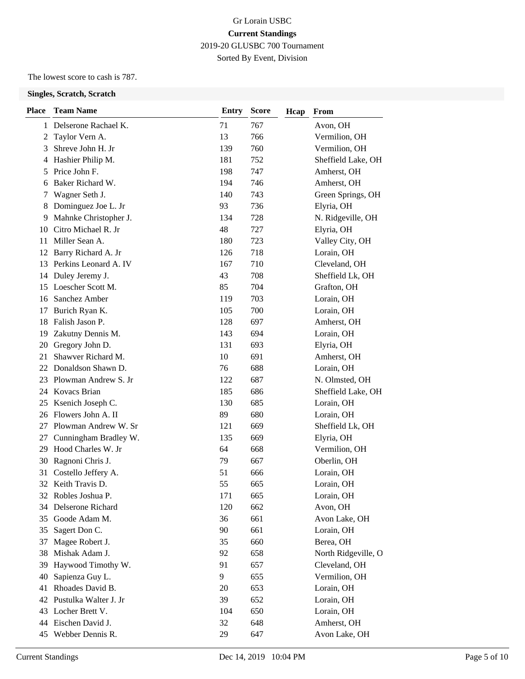### Gr Lorain USBC **Current Standings** 2019-20 GLUSBC 700 Tournament Sorted By Event, Division

The lowest score to cash is 787.

| <b>Place</b> | <b>Team Name</b>       | <b>Entry</b> | <b>Score</b> | Hcap | From                |
|--------------|------------------------|--------------|--------------|------|---------------------|
|              | 1 Delserone Rachael K. | 71           | 767          |      | Avon, OH            |
| 2            | Taylor Vern A.         | 13           | 766          |      | Vermilion, OH       |
| 3            | Shreve John H. Jr      | 139          | 760          |      | Vermilion, OH       |
| 4            | Hashier Philip M.      | 181          | 752          |      | Sheffield Lake, OH  |
| 5            | Price John F.          | 198          | 747          |      | Amherst, OH         |
| 6            | Baker Richard W.       | 194          | 746          |      | Amherst, OH         |
| 7            | Wagner Seth J.         | 140          | 743          |      | Green Springs, OH   |
| 8            | Dominguez Joe L. Jr    | 93           | 736          |      | Elyria, OH          |
| 9            | Mahnke Christopher J.  | 134          | 728          |      | N. Ridgeville, OH   |
| 10           | Citro Michael R. Jr    | 48           | 727          |      | Elyria, OH          |
| 11           | Miller Sean A.         | 180          | 723          |      | Valley City, OH     |
|              | 12 Barry Richard A. Jr | 126          | 718          |      | Lorain, OH          |
| 13           | Perkins Leonard A. IV  | 167          | 710          |      | Cleveland, OH       |
| 14           | Duley Jeremy J.        | 43           | 708          |      | Sheffield Lk, OH    |
| 15           | Loescher Scott M.      | 85           | 704          |      | Grafton, OH         |
| 16           | Sanchez Amber          | 119          | 703          |      | Lorain, OH          |
| 17           | Burich Ryan K.         | 105          | 700          |      | Lorain, OH          |
| 18           | Falish Jason P.        | 128          | 697          |      | Amherst, OH         |
| 19           | Zakutny Dennis M.      | 143          | 694          |      | Lorain, OH          |
| 20           | Gregory John D.        | 131          | 693          |      | Elyria, OH          |
| 21           | Shawver Richard M.     | 10           | 691          |      | Amherst, OH         |
| 22           | Donaldson Shawn D.     | 76           | 688          |      | Lorain, OH          |
| 23           | Plowman Andrew S. Jr   | 122          | 687          |      | N. Olmsted, OH      |
|              | 24 Kovacs Brian        | 185          | 686          |      | Sheffield Lake, OH  |
| 25           | Ksenich Joseph C.      | 130          | 685          |      | Lorain, OH          |
| 26           | Flowers John A. II     | 89           | 680          |      | Lorain, OH          |
| 27           | Plowman Andrew W. Sr   | 121          | 669          |      | Sheffield Lk, OH    |
| 27           | Cunningham Bradley W.  | 135          | 669          |      | Elyria, OH          |
| 29           | Hood Charles W. Jr     | 64           | 668          |      | Vermilion, OH       |
| 30           | Ragnoni Chris J.       | 79           | 667          |      | Oberlin, OH         |
| 31           | Costello Jeffery A.    | 51           | 666          |      | Lorain, OH          |
|              | 32 Keith Travis D.     | 55           | 665          |      | Lorain, OH          |
| 32           | Robles Joshua P.       | 171          | 665          |      | Lorain, OH          |
| 34           | Delserone Richard      | 120          | 662          |      | Avon, OH            |
| 35           | Goode Adam M.          | 36           | 661          |      | Avon Lake, OH       |
| 35           | Sagert Don C.          | 90           | 661          |      | Lorain, OH          |
| 37           | Magee Robert J.        | 35           | 660          |      | Berea, OH           |
| 38           | Mishak Adam J.         | 92           | 658          |      | North Ridgeville, O |
| 39           | Haywood Timothy W.     | 91           | 657          |      | Cleveland, OH       |
| 40           | Sapienza Guy L.        | 9            | 655          |      | Vermilion, OH       |
| 41           | Rhoades David B.       | 20           | 653          |      | Lorain, OH          |
| 42           | Pustulka Walter J. Jr  | 39           | 652          |      | Lorain, OH          |
| 43           | Locher Brett V.        | 104          | 650          |      | Lorain, OH          |
| 44           | Eischen David J.       | 32           | 648          |      | Amherst, OH         |
| 45           | Webber Dennis R.       | 29           | 647          |      | Avon Lake, OH       |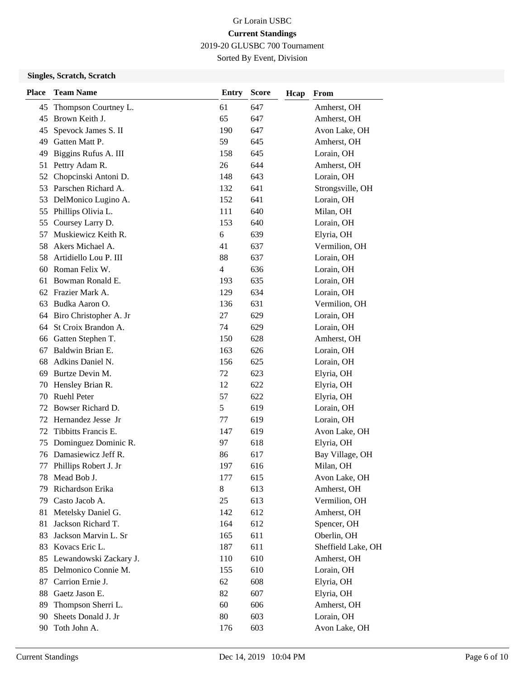2019-20 GLUSBC 700 Tournament

Sorted By Event, Division

| <b>Place</b> | <b>Team Name</b>          | <b>Entry</b> | <b>Score</b> | Hcap | From               |
|--------------|---------------------------|--------------|--------------|------|--------------------|
| 45           | Thompson Courtney L.      | 61           | 647          |      | Amherst, OH        |
| 45           | Brown Keith J.            | 65           | 647          |      | Amherst, OH        |
| 45           | Spevock James S. II       | 190          | 647          |      | Avon Lake, OH      |
| 49           | Gatten Matt P.            | 59           | 645          |      | Amherst, OH        |
| 49           | Biggins Rufus A. III      | 158          | 645          |      | Lorain, OH         |
| 51           | Pettry Adam R.            | 26           | 644          |      | Amherst, OH        |
| 52           | Chopcinski Antoni D.      | 148          | 643          |      | Lorain, OH         |
| 53           | Parschen Richard A.       | 132          | 641          |      | Strongsville, OH   |
| 53           | DelMonico Lugino A.       | 152          | 641          |      | Lorain, OH         |
| 55           | Phillips Olivia L.        | 111          | 640          |      | Milan, OH          |
| 55           | Coursey Larry D.          | 153          | 640          |      | Lorain, OH         |
| 57           | Muskiewicz Keith R.       | 6            | 639          |      | Elyria, OH         |
| 58           | Akers Michael A.          | 41           | 637          |      | Vermilion, OH      |
| 58           | Artidiello Lou P. III     | 88           | 637          |      | Lorain, OH         |
| 60           | Roman Felix W.            | 4            | 636          |      | Lorain, OH         |
| 61           | Bowman Ronald E.          | 193          | 635          |      | Lorain, OH         |
|              | 62 Frazier Mark A.        | 129          | 634          |      | Lorain, OH         |
| 63           | Budka Aaron O.            | 136          | 631          |      | Vermilion, OH      |
| 64           | Biro Christopher A. Jr    | 27           | 629          |      | Lorain, OH         |
| 64           | St Croix Brandon A.       | 74           | 629          |      | Lorain, OH         |
| 66           | Gatten Stephen T.         | 150          | 628          |      | Amherst, OH        |
| 67           | Baldwin Brian E.          | 163          | 626          |      | Lorain, OH         |
| 68           | Adkins Daniel N.          | 156          | 625          |      | Lorain, OH         |
| 69           | Burtze Devin M.           | 72           | 623          |      | Elyria, OH         |
| 70           | Hensley Brian R.          | 12           | 622          |      | Elyria, OH         |
| 70           | <b>Ruehl Peter</b>        | 57           | 622          |      | Elyria, OH         |
| 72           | Bowser Richard D.         | 5            | 619          |      | Lorain, OH         |
| 72           | Hernandez Jesse Jr        | 77           | 619          |      | Lorain, OH         |
| 72           | Tibbitts Francis E.       | 147          | 619          |      | Avon Lake, OH      |
| 75           | Dominguez Dominic R.      | 97           | 618          |      | Elyria, OH         |
| 76           | Damasiewicz Jeff R.       | 86           | 617          |      | Bay Village, OH    |
| 77           | Phillips Robert J. Jr     | 197          | 616          |      | Milan, OH          |
|              | 78 Mead Bob J.            | 177          | 615          |      | Avon Lake, OH      |
| 79           | Richardson Erika          | $8\,$        | 613          |      | Amherst, OH        |
| 79           | Casto Jacob A.            | 25           | 613          |      | Vermilion, OH      |
| 81           | Metelsky Daniel G.        | 142          | 612          |      | Amherst, OH        |
| 81           | Jackson Richard T.        | 164          | 612          |      | Spencer, OH        |
| 83           | Jackson Marvin L. Sr      | 165          | 611          |      | Oberlin, OH        |
| 83           | Kovacs Eric L.            | 187          | 611          |      | Sheffield Lake, OH |
|              | 85 Lewandowski Zackary J. | 110          | 610          |      | Amherst, OH        |
| 85           | Delmonico Connie M.       | 155          | 610          |      | Lorain, OH         |
| 87           | Carrion Ernie J.          | 62           | 608          |      | Elyria, OH         |
| 88           | Gaetz Jason E.            | 82           | 607          |      | Elyria, OH         |
| 89           | Thompson Sherri L.        | 60           | 606          |      | Amherst, OH        |
| 90           | Sheets Donald J. Jr       | 80           | 603          |      | Lorain, OH         |
| 90           | Toth John A.              | 176          | 603          |      | Avon Lake, OH      |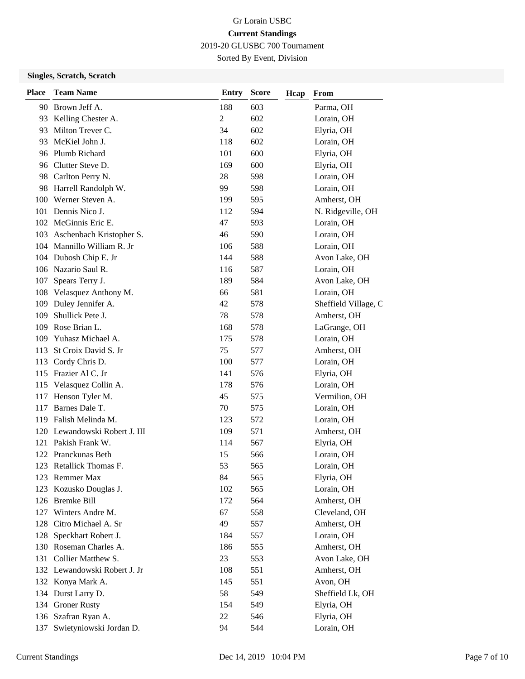2019-20 GLUSBC 700 Tournament

Sorted By Event, Division

| <b>Place</b> | <b>Team Name</b>              | <b>Entry</b> | <b>Score</b> | Hcap | From                 |
|--------------|-------------------------------|--------------|--------------|------|----------------------|
| 90           | Brown Jeff A.                 | 188          | 603          |      | Parma, OH            |
| 93           | Kelling Chester A.            | 2            | 602          |      | Lorain, OH           |
| 93           | Milton Trever C.              | 34           | 602          |      | Elyria, OH           |
| 93           | McKiel John J.                | 118          | 602          |      | Lorain, OH           |
|              | 96 Plumb Richard              | 101          | 600          |      | Elyria, OH           |
|              | 96 Clutter Steve D.           | 169          | 600          |      | Elyria, OH           |
|              | 98 Carlton Perry N.           | 28           | 598          |      | Lorain, OH           |
|              | 98 Harrell Randolph W.        | 99           | 598          |      | Lorain, OH           |
|              | 100 Werner Steven A.          | 199          | 595          |      | Amherst, OH          |
| 101          | Dennis Nico J.                | 112          | 594          |      | N. Ridgeville, OH    |
|              | 102 McGinnis Eric E.          | 47           | 593          |      | Lorain, OH           |
|              | 103 Aschenbach Kristopher S.  | 46           | 590          |      | Lorain, OH           |
|              | 104 Mannillo William R. Jr    | 106          | 588          |      | Lorain, OH           |
|              | 104 Dubosh Chip E. Jr         | 144          | 588          |      | Avon Lake, OH        |
|              | 106 Nazario Saul R.           | 116          | 587          |      | Lorain, OH           |
|              | 107 Spears Terry J.           | 189          | 584          |      | Avon Lake, OH        |
|              | 108 Velasquez Anthony M.      | 66           | 581          |      | Lorain, OH           |
| 109          | Duley Jennifer A.             | 42           | 578          |      | Sheffield Village, C |
| 109          | Shullick Pete J.              | 78           | 578          |      | Amherst, OH          |
| 109          | Rose Brian L.                 | 168          | 578          |      | LaGrange, OH         |
| 109          | Yuhasz Michael A.             | 175          | 578          |      | Lorain, OH           |
| 113          | St Croix David S. Jr          | 75           | 577          |      | Amherst, OH          |
| 113          | Cordy Chris D.                | 100          | 577          |      | Lorain, OH           |
|              | 115 Frazier Al C. Jr          | 141          | 576          |      | Elyria, OH           |
|              | 115 Velasquez Collin A.       | 178          | 576          |      | Lorain, OH           |
|              | 117 Henson Tyler M.           | 45           | 575          |      | Vermilion, OH        |
| 117          | Barnes Dale T.                | 70           | 575          |      | Lorain, OH           |
|              | 119 Falish Melinda M.         | 123          | 572          |      | Lorain, OH           |
|              | 120 Lewandowski Robert J. III | 109          | 571          |      | Amherst, OH          |
|              | 121 Pakish Frank W.           | 114          | 567          |      | Elyria, OH           |
|              | 122 Pranckunas Beth           | 15           | 566          |      | Lorain, OH           |
|              | 123 Retallick Thomas F.       | 53           | 565          |      | Lorain, OH           |
|              | 123 Remmer Max                | 84           | 565          |      | Elyria, OH           |
| 123          | Kozusko Douglas J.            | 102          | 565          |      | Lorain, OH           |
|              | 126 Bremke Bill               | 172          | 564          |      | Amherst, OH          |
|              | 127 Winters Andre M.          | 67           | 558          |      | Cleveland, OH        |
|              | 128 Citro Michael A. Sr       | 49           | 557          |      | Amherst, OH          |
| 128          | Speckhart Robert J.           | 184          | 557          |      | Lorain, OH           |
|              | 130 Roseman Charles A.        | 186          | 555          |      | Amherst, OH          |
|              | 131 Collier Matthew S.        | 23           | 553          |      | Avon Lake, OH        |
|              | 132 Lewandowski Robert J. Jr  | 108          | 551          |      | Amherst, OH          |
|              | 132 Konya Mark A.             | 145          | 551          |      | Avon, OH             |
|              | 134 Durst Larry D.            | 58           | 549          |      | Sheffield Lk, OH     |
|              | 134 Groner Rusty              | 154          | 549          |      | Elyria, OH           |
|              | 136 Szafran Ryan A.           | 22           | 546          |      | Elyria, OH           |
| 137          | Swietyniowski Jordan D.       | 94           | 544          |      | Lorain, OH           |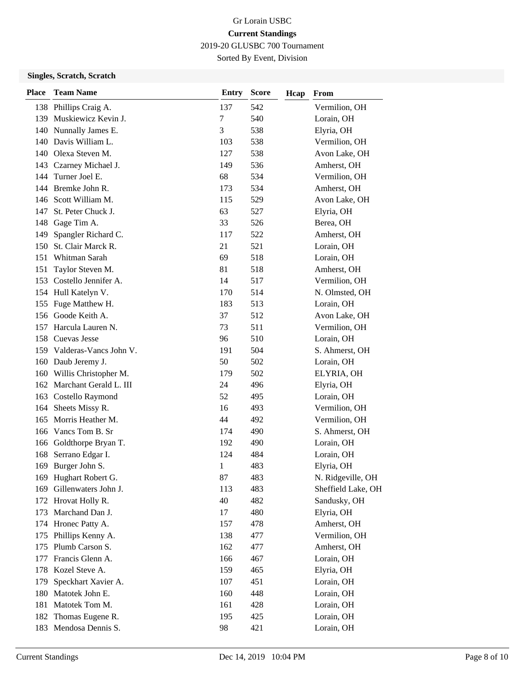2019-20 GLUSBC 700 Tournament

Sorted By Event, Division

| <b>Place</b> | <b>Team Name</b>           | <b>Entry</b> | <b>Score</b> | Hcap | From               |
|--------------|----------------------------|--------------|--------------|------|--------------------|
|              | 138 Phillips Craig A.      | 137          | 542          |      | Vermilion, OH      |
|              | 139 Muskiewicz Kevin J.    | 7            | 540          |      | Lorain, OH         |
|              | 140 Nunnally James E.      | 3            | 538          |      | Elyria, OH         |
|              | 140 Davis William L.       | 103          | 538          |      | Vermilion, OH      |
|              | 140 Olexa Steven M.        | 127          | 538          |      | Avon Lake, OH      |
|              | 143 Czarney Michael J.     | 149          | 536          |      | Amherst, OH        |
| 144          | Turner Joel E.             | 68           | 534          |      | Vermilion, OH      |
|              | 144 Bremke John R.         | 173          | 534          |      | Amherst, OH        |
|              | 146 Scott William M.       | 115          | 529          |      | Avon Lake, OH      |
| 147          | St. Peter Chuck J.         | 63           | 527          |      | Elyria, OH         |
| 148          | Gage Tim A.                | 33           | 526          |      | Berea, OH          |
| 149          | Spangler Richard C.        | 117          | 522          |      | Amherst, OH        |
| 150          | St. Clair Marck R.         | 21           | 521          |      | Lorain, OH         |
| 151          | Whitman Sarah              | 69           | 518          |      | Lorain, OH         |
| 151          | Taylor Steven M.           | 81           | 518          |      | Amherst, OH        |
|              | 153 Costello Jennifer A.   | 14           | 517          |      | Vermilion, OH      |
|              | 154 Hull Katelyn V.        | 170          | 514          |      | N. Olmsted, OH     |
|              | 155 Fuge Matthew H.        | 183          | 513          |      | Lorain, OH         |
|              | 156 Goode Keith A.         | 37           | 512          |      | Avon Lake, OH      |
|              | 157 Harcula Lauren N.      | 73           | 511          |      | Vermilion, OH      |
|              | 158 Cuevas Jesse           | 96           | 510          |      | Lorain, OH         |
|              | 159 Valderas-Vancs John V. | 191          | 504          |      | S. Ahmerst, OH     |
|              | 160 Daub Jeremy J.         | 50           | 502          |      | Lorain, OH         |
|              | 160 Willis Christopher M.  | 179          | 502          |      | ELYRIA, OH         |
|              | 162 Marchant Gerald L. III | 24           | 496          |      | Elyria, OH         |
|              | 163 Costello Raymond       | 52           | 495          |      | Lorain, OH         |
|              | 164 Sheets Missy R.        | 16           | 493          |      | Vermilion, OH      |
|              | 165 Morris Heather M.      | 44           | 492          |      | Vermilion, OH      |
|              | 166 Vancs Tom B. Sr        | 174          | 490          |      | S. Ahmerst, OH     |
|              | 166 Goldthorpe Bryan T.    | 192          | 490          |      | Lorain, OH         |
|              | 168 Serrano Edgar I.       | 124          | 484          |      | Lorain, OH         |
|              | 169 Burger John S.         | 1            | 483          |      | Elyria, OH         |
|              | 169 Hughart Robert G.      | 87           | 483          |      | N. Ridgeville, OH  |
| 169          | Gillenwaters John J.       | 113          | 483          |      | Sheffield Lake, OH |
|              | 172 Hrovat Holly R.        | 40           | 482          |      | Sandusky, OH       |
|              | 173 Marchand Dan J.        | 17           | 480          |      | Elyria, OH         |
|              | 174 Hronec Patty A.        | 157          | 478          |      | Amherst, OH        |
|              | 175 Phillips Kenny A.      | 138          | 477          |      | Vermilion, OH      |
|              | 175 Plumb Carson S.        | 162          | 477          |      | Amherst, OH        |
| 177          | Francis Glenn A.           | 166          | 467          |      | Lorain, OH         |
| 178          | Kozel Steve A.             | 159          | 465          |      | Elyria, OH         |
| 179          | Speckhart Xavier A.        | 107          | 451          |      | Lorain, OH         |
| 180          | Matotek John E.            | 160          | 448          |      | Lorain, OH         |
| 181          | Matotek Tom M.             | 161          | 428          |      | Lorain, OH         |
| 182          | Thomas Eugene R.           | 195          | 425          |      | Lorain, OH         |
|              | 183 Mendosa Dennis S.      | 98           | 421          |      | Lorain, OH         |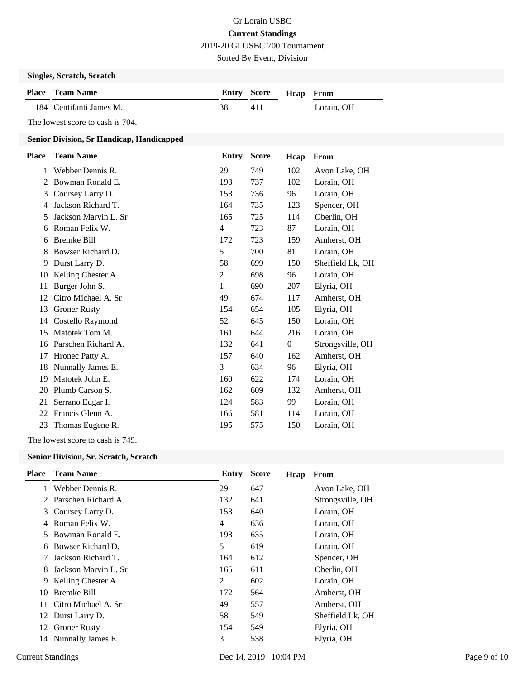2019-20 GLUSBC 700 Tournament

Sorted By Event, Division

#### **Singles, Scratch, Scratch**

| <b>Place</b> Team Name  |    | Entry Score Heap From |            |
|-------------------------|----|-----------------------|------------|
| 184 Centifanti James M. | 38 | 411                   | Lorain. OH |

The lowest score to cash is 704.

### **Senior Division, Sr Handicap, Handicapped**

| Place | <b>Team Name</b>     | Entry          | <b>Score</b> | Hcap         | From             |
|-------|----------------------|----------------|--------------|--------------|------------------|
| 1     | Webber Dennis R.     | 29             | 749          | 102          | Avon Lake, OH    |
| 2     | Bowman Ronald E.     | 193            | 737          | 102          | Lorain, OH       |
| 3     | Coursey Larry D.     | 153            | 736          | 96           | Lorain, OH       |
| 4     | Jackson Richard T.   | 164            | 735          | 123          | Spencer, OH      |
| 5     | Jackson Marvin L. Sr | 165            | 725          | 114          | Oberlin, OH      |
| 6     | Roman Felix W.       | $\overline{4}$ | 723          | 87           | Lorain, OH       |
| 6     | <b>Bremke Bill</b>   | 172            | 723          | 159          | Amherst, OH      |
| 8     | Bowser Richard D.    | 5              | 700          | 81           | Lorain, OH       |
| 9     | Durst Larry D.       | 58             | 699          | 150          | Sheffield Lk, OH |
| 10    | Kelling Chester A.   | 2              | 698          | 96           | Lorain, OH       |
| 11    | Burger John S.       | 1              | 690          | 207          | Elyria, OH       |
| 12    | Citro Michael A. Sr  | 49             | 674          | 117          | Amherst, OH      |
| 13    | <b>Groner Rusty</b>  | 154            | 654          | 105          | Elyria, OH       |
| 14    | Costello Raymond     | 52             | 645          | 150          | Lorain, OH       |
| 15    | Matotek Tom M.       | 161            | 644          | 216          | Lorain, OH       |
| 16    | Parschen Richard A.  | 132            | 641          | $\mathbf{0}$ | Strongsville, OH |
| 17    | Hronec Patty A.      | 157            | 640          | 162          | Amherst, OH      |
| 18    | Nunnally James E.    | 3              | 634          | 96           | Elyria, OH       |
| 19    | Matotek John E.      | 160            | 622          | 174          | Lorain, OH       |
| 20    | Plumb Carson S.      | 162            | 609          | 132          | Amherst, OH      |
| 21    | Serrano Edgar I.     | 124            | 583          | 99           | Lorain, OH       |
| 22    | Francis Glenn A.     | 166            | 581          | 114          | Lorain, OH       |
| 23    | Thomas Eugene R.     | 195            | 575          | 150          | Lorain, OH       |
|       |                      |                |              |              |                  |

The lowest score to cash is 749.

### **Senior Division, Sr. Scratch, Scratch**

| <b>Place</b> | <b>Team Name</b>       | Entry | <b>Score</b> | Hcap | From             |
|--------------|------------------------|-------|--------------|------|------------------|
|              | Webber Dennis R.       | 29    | 647          |      | Avon Lake, OH    |
| 2            | Parschen Richard A.    | 132   | 641          |      | Strongsville, OH |
| 3            | Coursey Larry D.       | 153   | 640          |      | Lorain, OH       |
| 4            | Roman Felix W.         | 4     | 636          |      | Lorain, OH       |
| 5.           | Bowman Ronald E.       | 193   | 635          |      | Lorain, OH       |
| 6            | Bowser Richard D.      | 5     | 619          |      | Lorain, OH       |
|              | Jackson Richard T.     | 164   | 612          |      | Spencer, OH      |
| 8            | Jackson Marvin L. Sr   | 165   | 611          |      | Oberlin, OH      |
| 9            | Kelling Chester A.     | 2     | 602          |      | Lorain, OH       |
| 10           | <b>Bremke Bill</b>     | 172   | 564          |      | Amherst, OH      |
|              | 11 Citro Michael A. Sr | 49    | 557          |      | Amherst, OH      |
| 12           | Durst Larry D.         | 58    | 549          |      | Sheffield Lk, OH |
| 12           | <b>Groner Rusty</b>    | 154   | 549          |      | Elyria, OH       |
| 14           | Nunnally James E.      | 3     | 538          |      | Elyria, OH       |
|              |                        |       |              |      |                  |